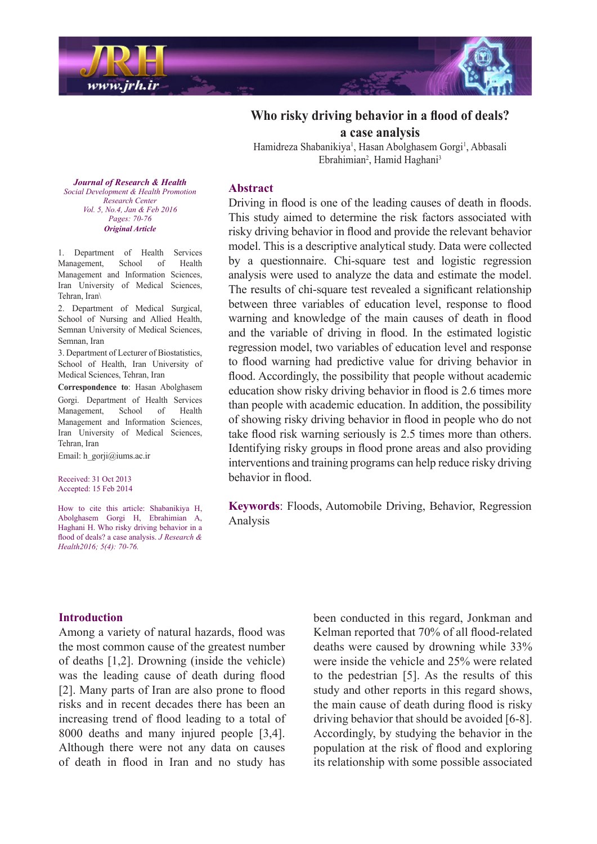

# **Who risky driving behavior in a flood of deals? a** case analysis

Hamidreza Shabanikiya<sup>1</sup>, Hasan Abolghasem Gorgi<sup>1</sup>, Abbasali Ebrahimian<sup>2</sup>, Hamid Haghani<sup>3</sup>

**Journal of Research & Health** *Social Development & Health Promotion Center Research Vol.* 5, No.4, Jan & Feb 2016 *Pages*: 70-76 *Article Original*

1. Department of Health Services Management, School of Health Management and Information Sciences, Iran University of Medical Sciences, Tehran Iran\

2. Department of Medical Surgical, School of Nursing and Allied Health, Semnan University of Medical Sciences, Semnan, Iran

3. Department of Lecturer of Biostatistics, School of Health, Iran University of Medical Sciences, Tehran, Iran

Correspondence to: Hasan Abolghasem Gorgi. Department of Health Services Management, School of Health Management and Information Sciences, Iran University of Medical Sciences, Tehran, Iran

Email: h gorji $@$ iums.ac.ir

Received: 31 Oct 2013 Accepted: 15 Feb 2014

How to cite this article: Shabanikiya H, Abolghasem Gorgi H, Ebrahimian A, Haghani H. Who risky driving behavior in a flood of deals? a case analysis. *J Research & Health2016*; 5(4): 70-76.

#### **Abstract**

Driving in flood is one of the leading causes of death in floods. This study aimed to determine the risk factors associated with risky driving behavior in flood and provide the relevant behavior model. This is a descriptive analytical study. Data were collected by a questionnaire. Chi-square test and logistic regression analysis were used to analyze the data and estimate the model. The results of chi-square test revealed a significant relationship between three variables of education level, response to flood warning and knowledge of the main causes of death in flood and the variable of driving in flood. In the estimated logistic regression model, two variables of education level and response to flood warning had predictive value for driving behavior in flood. Accordingly, the possibility that people without academic education show risky driving behavior in flood is 2.6 times more than people with academic education. In addition, the possibility of showing risky driving behavior in flood in people who do not take flood risk warning seriously is 2.5 times more than others. Identifying risky groups in flood prone areas and also providing interventions and training programs can help reduce risky driving behavior in flood.

Keywords: Floods, Automobile Driving, Behavior, Regression Analysis

### **Introduction**

Among a variety of natural hazards, flood was the most common cause of the greatest number of deaths  $[1,2]$ . Drowning (inside the vehicle) was the leading cause of death during flood [2]. Many parts of Iran are also prone to flood risks and in recent decades there has been an increasing trend of flood leading to a total of  $8000$  deaths and many injured people [3,4]. Although there were not any data on causes of death in flood in Iran and no study has

been conducted in this regard, Jonkman and Kelman reported that 70% of all flood-related deaths were caused by drowning while  $33\%$ were inside the vehicle and 25% were related to the pedestrian  $[5]$ . As the results of this study and other reports in this regard shows, the main cause of death during flood is risky driving behavior that should be avoided [6-8]. Accordingly, by studying the behavior in the population at the risk of flood and exploring its relationship with some possible associated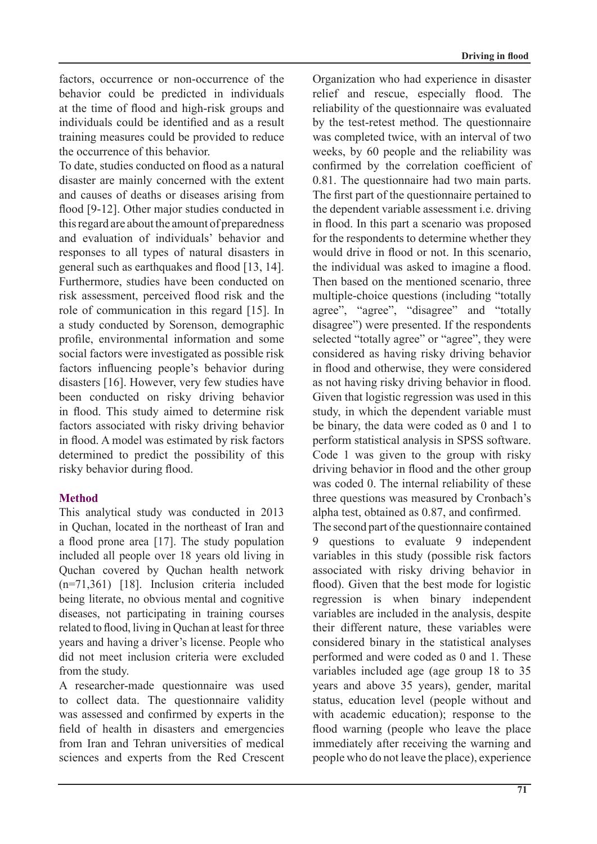factors, occurrence or non-occurrence of the behavior could be predicted in individuals at the time of flood and high-risk groups and individuals could be identified and as a result training measures could be provided to reduce the occurrence of this behavior.

To date, studies conducted on flood as a natural disaster are mainly concerned with the extent and causes of deaths or diseases arising from flood  $[9-12]$ . Other major studies conducted in this regard are about the amount of preparedness and evaluation of individuals' behavior and responses to all types of natural disasters in general such as earthquakes and flood  $[13, 14]$ . Furthermore, studies have been conducted on risk assessment, perceived flood risk and the role of communication in this regard  $[15]$ . In a study conducted by Sorenson, demographic profile, environmental information and some social factors were investigated as possible risk factors influencing people's behavior during disasters  $[16]$ . However, very few studies have been conducted on risky driving behavior in flood. This study aimed to determine risk factors associated with risky driving behavior in flood. A model was estimated by risk factors determined to predict the possibility of this risky behavior during flood.

## **Method**

This analytical study was conducted in 2013 in Quchan, located in the northeast of Iran and a flood prone area  $[17]$ . The study population included all people over 18 years old living in Ouchan covered by Ouchan health network  $(n=71,361)$  [18]. Inclusion criteria included being literate, no obvious mental and cognitive diseases, not participating in training courses related to flood, living in Quchan at least for three years and having a driver's license. People who did not meet inclusion criteria were excluded from the study.

A researcher-made questionnaire was used to collect data. The questionnaire validity was assessed and confirmed by experts in the field of health in disasters and emergencies from Iran and Tehran universities of medical sciences and experts from the Red Crescent Organization who had experience in disaster relief and rescue, especially flood. The reliability of the questionnaire was evaluated by the test-retest method. The questionnaire was completed twice, with an interval of two weeks, by 60 people and the reliability was confirmed by the correlation coefficient of  $0.81$ . The questionnaire had two main parts. The first part of the questionnaire pertained to the dependent variable assessment i.e. driving in flood. In this part a scenario was proposed for the respondents to determine whether they would drive in flood or not. In this scenario, the individual was asked to imagine a flood. Then based on the mentioned scenario, three multiple-choice questions (including "totally agree", "agree", "disagree" and "totally disagree") were presented. If the respondents selected "totally agree" or "agree", they were considered as having risky driving behavior in flood and otherwise, they were considered as not having risky driving behavior in flood. Given that logistic regression was used in this study, in which the dependent variable must be binary, the data were coded as  $0$  and  $1$  to perform statistical analysis in SPSS software. Code 1 was given to the group with risky driving behavior in flood and the other group was coded 0. The internal reliability of these three questions was measured by Cronbach's alpha test, obtained as  $0.87$ , and confirmed.

The second part of the questionnaire contained 9 questions to evaluate 9 independent variables in this study (possible risk factors associated with risky driving behavior in flood). Given that the best mode for logistic regression is when binary independent variables are included in the analysis, despite their different nature, these variables were considered binary in the statistical analyses performed and were coded as 0 and 1. These variables included age (age group  $18$  to  $35$ ) years and above 35 years), gender, marital status, education level (people without and with academic education); response to the flood warning (people who leave the place immediately after receiving the warning and people who do not leave the place), experience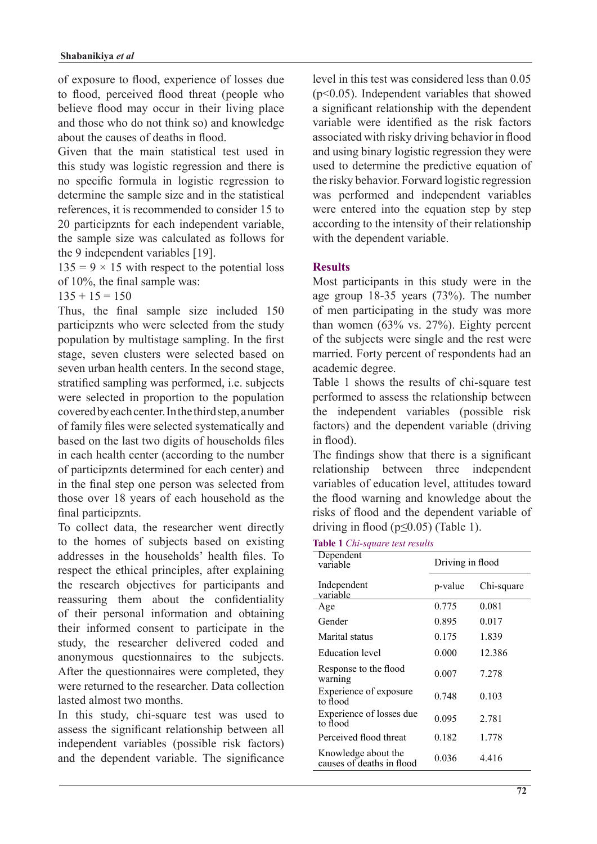of exposure to flood, experience of losses due to flood, perceived flood threat (people who believe flood may occur in their living place and those who do not think so) and knowledge about the causes of deaths in flood.

Given that the main statistical test used in this study was logistic regression and there is no specific formula in logistic regression to determine the sample size and in the statistical references, it is recommended to consider 15 to 20 participznts for each independent variable, the sample size was calculated as follows for the 9 independent variables  $[19]$ .

 $135 = 9 \times 15$  with respect to the potential loss of  $10\%$ , the final sample was:

 $135 + 15 = 150$ 

Thus, the final sample size included 150 participznts who were selected from the study population by multistage sampling. In the first stage, seven clusters were selected based on seven urban health centers. In the second stage, stratified sampling was performed, *i.e.* subjects were selected in proportion to the population covered by each center. In the third step, a number of family files were selected systematically and based on the last two digits of households files in each health center (according to the number of participznts determined for each center) and in the final step one person was selected from those over 18 years of each household as the final participznts.

To collect data, the researcher went directly to the homes of subjects based on existing addresses in the households' health files. To respect the ethical principles, after explaining the research objectives for participants and reassuring them about the confidentiality of their personal information and obtaining their informed consent to participate in the study, the researcher delivered coded and anonymous questionnaires to the subjects. After the questionnaires were completed, they were returned to the researcher. Data collection lasted almost two months

In this study, chi-square test was used to assess the significant relationship between all independent variables (possible risk factors) and the dependent variable. The significance level in this test was considered less than  $0.05$  $(p<0.05)$ . Independent variables that showed a significant relationship with the dependent variable were identified as the risk factors associated with risky driving behavior in flood and using binary logistic regression they were used to determine the predictive equation of the risky behavior. Forward logistic regression was performed and independent variables were entered into the equation step by step according to the intensity of their relationship with the dependent variable.

### **Results**

Most participants in this study were in the age group  $18-35$  years  $(73%)$ . The number of men participating in the study was more than women  $(63\%$  vs.  $27\%)$ . Eighty percent of the subjects were single and the rest were married. Forty percent of respondents had an academic degree.

Table 1 shows the results of chi-square test performed to assess the relationship between the independent variables (possible risk factors) and the dependent variable (driving in flood).

The findings show that there is a significant relationship between three independent variables of education level, attitudes toward the flood warning and knowledge about the risks of flood and the dependent variable of driving in flood ( $p \le 0.05$ ) (Table 1).

**Table 1** *Chi-square test results* 

| Dependent<br>variable                            | Driving in flood |            |  |  |
|--------------------------------------------------|------------------|------------|--|--|
| Independent<br>variable                          | p-value          | Chi-square |  |  |
| Age                                              | 0.775            | 0.081      |  |  |
| Gender                                           | 0.895            | 0.017      |  |  |
| Marital status                                   | 0.175            | 1.839      |  |  |
| <b>Education</b> level                           | 0.000            | 12.386     |  |  |
| Response to the flood<br>warning                 | 0.007            | 7.278      |  |  |
| Experience of exposure<br>to flood               | 0.748            | 0.103      |  |  |
| Experience of losses due<br>to flood             | 0.095            | 2.781      |  |  |
| Perceived flood threat                           | 0.182            | 1.778      |  |  |
| Knowledge about the<br>causes of deaths in flood | 0.036            | 4.416      |  |  |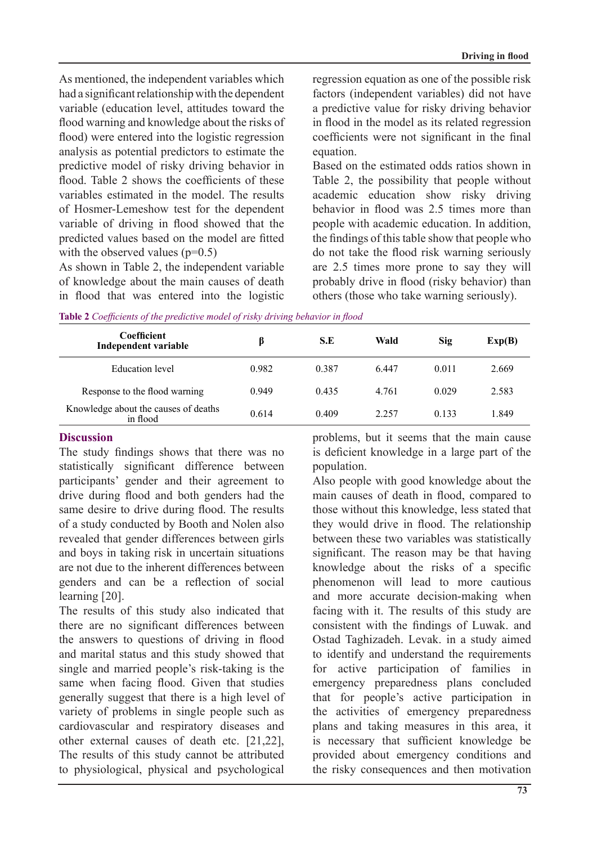As mentioned, the independent variables which had a significant relationship with the dependent variable (education level, attitudes toward the flood warning and knowledge about the risks of flood) were entered into the logistic regression analysis as potential predictors to estimate the predictive model of risky driving behavior in flood Table 2 shows the coefficients of these variables estimated in the model. The results of Hosmer-Lemeshow test for the dependent variable of driving in flood showed that the predicted values based on the model are fitted with the observed values  $(p=0.5)$ 

As shown in Table 2, the independent variable of knowledge about the main causes of death in flood that was entered into the logistic

regression equation as one of the possible risk factors (independent variables) did not have a predictive value for risky driving behavior in flood in the model as its related regression coefficients were not significant in the final .equation

Based on the estimated odds ratios shown in Table 2, the possibility that people without academic education show risky driving behavior in flood was 2.5 times more than people with academic education. In addition, the findings of this table show that people who do not take the flood risk warning seriously are 2.5 times more prone to say they will probably drive in flood (risky behavior) than others (those who take warning seriously).

| <b>Coefficient</b><br>Independent variable       | ß     | S.E   | Wald  | Sig   | Exp(B) |
|--------------------------------------------------|-------|-------|-------|-------|--------|
| Education level                                  | 0.982 | 0.387 | 6.447 | 0.011 | 2.669  |
| Response to the flood warning                    | 0.949 | 0.435 | 4.761 | 0.029 | 2.583  |
| Knowledge about the causes of deaths<br>in flood | 0.614 | 0.409 | 2.257 | 0.133 | 1.849  |

*flable 2 Coefficients of the predictive model of risky driving behavior in flood* 

### **Discussion**

The study findings shows that there was no statistically significant difference between participants' gender and their agreement to drive during flood and both genders had the same desire to drive during flood. The results of a study conducted by Booth and Nolen also revealed that gender differences between girls and boys in taking risk in uncertain situations are not due to the inherent differences between genders and can be a reflection of social learning [20].

The results of this study also indicated that there are no significant differences between the answers to questions of driving in flood and marital status and this study showed that single and married people's risk-taking is the same when facing flood. Given that studies generally suggest that there is a high level of variety of problems in single people such as cardiovascular and respiratory diseases and other external causes of death etc.  $[21,22]$ , The results of this study cannot be attributed to physiological, physical and psychological problems, but it seems that the main cause is deficient knowledge in a large part of the population.

Also people with good knowledge about the main causes of death in flood, compared to those without this knowledge, less stated that they would drive in flood. The relationship between these two variables was statistically significant. The reason may be that having knowledge about the risks of a specific phenomenon will lead to more cautious and more accurate decision-making when facing with it. The results of this study are consistent with the findings of Luwak, and Ostad Taghizadeh. Levak. in a study aimed to identify and understand the requirements for active participation of families in emergency preparedness plans concluded that for people's active participation in the activities of emergency preparedness plans and taking measures in this area, it is necessary that sufficient knowledge be provided about emergency conditions and the risky consequences and then motivation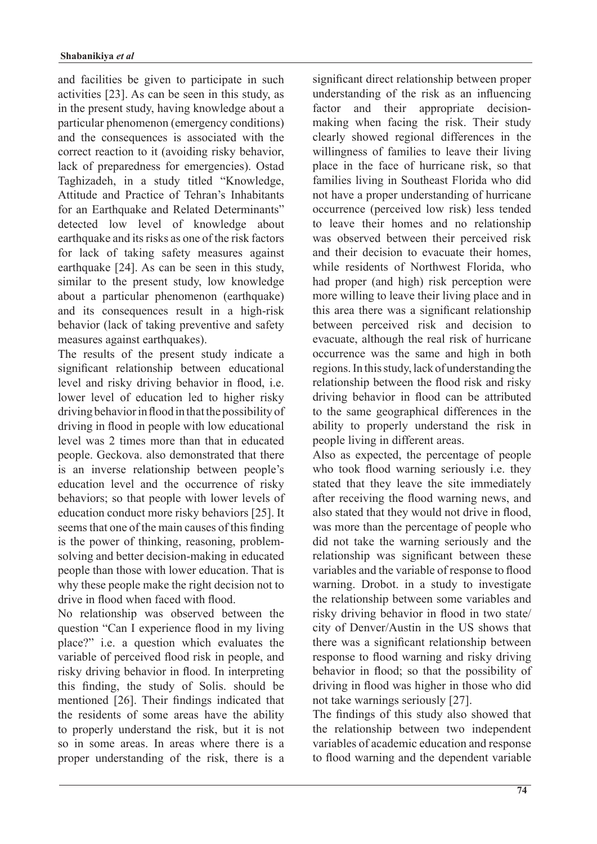and facilities be given to participate in such activities  $[23]$ . As can be seen in this study, as in the present study, having knowledge about a particular phenomenon (emergency conditions) and the consequences is associated with the correct reaction to it (avoiding risky behavior, lack of preparedness for emergencies). Ostad Taghizadeh, in a study titled "Knowledge, Attitude and Practice of Tehran's Inhabitants for an Earthquake and Related Determinants" detected low level of knowledge about earthquake and its risks as one of the risk factors for lack of taking safety measures against earthquake  $[24]$ . As can be seen in this study, similar to the present study, low knowledge about a particular phenomenon (earthquake) and its consequences result in a high-risk behavior (lack of taking preventive and safety measures against earthquakes).

The results of the present study indicate a significant relationship between educational level and risky driving behavior in flood, i.e. lower level of education led to higher risky driving behavior in flood in that the possibility of driving in flood in people with low educational level was 2 times more than that in educated people. Geckova. also demonstrated that there is an inverse relationship between people's education level and the occurrence of risky behaviors; so that people with lower levels of education conduct more risky behaviors [25]. It seems that one of the main causes of this finding solving and better decision-making in educated is the power of thinking, reasoning, problempeople than those with lower education. That is why these people make the right decision not to drive in flood when faced with flood.

No relationship was observed between the question "Can I experience flood in my living place?" i.e. a question which evaluates the variable of perceived flood risk in people, and risky driving behavior in flood. In interpreting this finding, the study of Solis. should be mentioned  $[26]$ . Their findings indicated that the residents of some areas have the ability to properly understand the risk, but it is not so in some areas. In areas where there is a proper understanding of the risk, there is a significant direct relationship between proper understanding of the risk as an influencing making when facing the risk. Their study factor and their appropriate decisionclearly showed regional differences in the willingness of families to leave their living place in the face of hurricane risk, so that families living in Southeast Florida who did not have a proper understanding of hurricane occurrence (perceived low risk) less tended to leave their homes and no relationship was observed between their perceived risk and their decision to evacuate their homes, while residents of Northwest Florida, who had proper (and high) risk perception were more willing to leave their living place and in this area there was a significant relationship between perceived risk and decision to evacuate, although the real risk of hurricane occurrence was the same and high in both regions. In this study, lack of understanding the relationship between the flood risk and risky driving behavior in flood can be attributed to the same geographical differences in the ability to properly understand the risk in people living in different areas.

Also as expected, the percentage of people who took flood warning seriously i.e. they stated that they leave the site immediately after receiving the flood warning news, and also stated that they would not drive in flood, was more than the percentage of people who did not take the warning seriously and the relationship was significant between these variables and the variable of response to flood warning. Drobot. in a study to investigate the relationship between some variables and risky driving behavior in flood in two state/ city of Denver/Austin in the US shows that there was a significant relationship between response to flood warning and risky driving behavior in flood; so that the possibility of driving in flood was higher in those who did not take warnings seriously  $[27]$ .

The findings of this study also showed that the relationship between two independent variables of academic education and response to flood warning and the dependent variable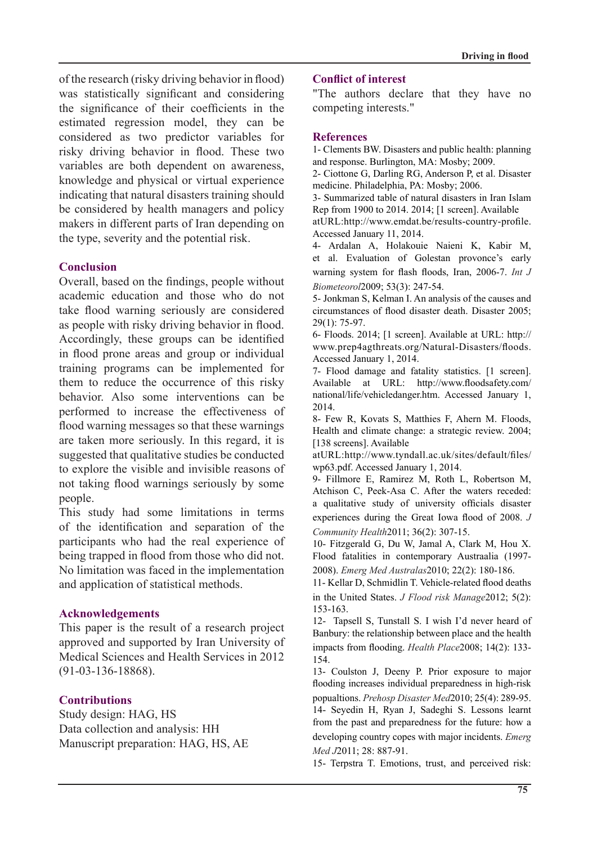of the research (risky driving behavior in flood) was statistically significant and considering the significance of their coefficients in the estimated regression model, they can be considered as two predictor variables for risky driving behavior in flood. These two variables are both dependent on awareness, knowledge and physical or virtual experience indicating that natural disasters training should be considered by health managers and policy makers in different parts of Iran depending on the type, severity and the potential risk.

### **Conclusion**

Overall, based on the findings, people without academic education and those who do not take flood warning seriously are considered as people with risky driving behavior in flood. Accordingly, these groups can be identified in flood prone areas and group or individual training programs can be implemented for them to reduce the occurrence of this risky behavior. Also some interventions can be performed to increase the effectiveness of flood warning messages so that these warnings are taken more seriously. In this regard, it is suggested that qualitative studies be conducted to explore the visible and invisible reasons of not taking flood warnings seriously by some people.

This study had some limitations in terms of the identification and separation of the participants who had the real experience of being trapped in flood from those who did not. No limitation was faced in the implementation and application of statistical methods.

### **Acknowledgements**

This paper is the result of a research project approved and supported by Iran University of Medical Sciences and Health Services in 2012 .(91-03-136-18868)

## **Contributions**

Study design: HAG, HS Data collection and analysis: HH Manuscript preparation: HAG, HS, AE

#### **Conflict of interest**

"The authors declare that they have no competing interests."

#### **References**

1- Clements BW. Disasters and public health: planning and response. Burlington, MA: Mosby; 2009.

2- Ciottone G. Darling RG. Anderson P. et al. Disaster medicine. Philadelphia. PA: Mosby: 2006.

3- Summarized table of natural disasters in Iran Islam Rep from 1900 to 2014.  $2014$ ; [1 screen]. Available

atURL:http://www.emdat.be/results-country-profile. Accessed January 11, 2014.

4- Ardalan A, Holakouie Naieni K, Kabir M, et al. Evaluation of Golestan provonce's early warning system for flash floods, Iran, 2006-7. *Int J* Biometeorol2009; 53(3): 247-54.

5- Jonkman S, Kelman I. An analysis of the causes and circumstances of flood disaster death. Disaster 2005;  $29(1)$ : 75-97.

6- Floods. 2014; [1 screen]. Available at URL: http:// www.prep4agthreats.org/Natural-Disasters/floods. Accessed January 1, 2014.

7- Flood damage and fatality statistics. [1 screen]. Available at URL: http://www.floodsafety.com/ national/life/vehicledanger.htm. Accessed January 1, 2014.

8- Few R, Kovats S, Matthies F, Ahern M. Floods, Health and climate change: a strategic review. 2004; [138 screens]. Available

atURL:http://www.tyndall.ac.uk/sites/default/files/ wp63.pdf. Accessed January 1, 2014.

9- Fillmore E, Ramirez M, Roth L, Robertson M, Atchison C, Peek-Asa C. After the waters receded: a qualitative study of university officials disaster experiences during the Great Iowa flood of 2008. J Community Health 2011; 36(2): 307-15.

10- Fitzgerald G, Du W, Jamal A, Clark M, Hou X. Flood fatalities in contemporary Austraalia (1997-

2008). Emerg Med Australas 2010; 22(2): 180-186.

11- Kellar D, Schmidlin T. Vehicle-related flood deaths in the United States. *J Flood risk Manage* 2012; 5(2): 153-163.

12- Tapsell S, Tunstall S. I wish I'd never heard of Banbury: the relationship between place and the health impacts from flooding. *Health Place* 2008; 14(2): 133-154.

13- Coulston J, Deeny P. Prior exposure to major flooding increases individual preparedness in high-risk popualtions *Prehosp Disaster Med* 2010<sup>-</sup> 25(4)<sup>-</sup> 289-95. 14- Seyedin H, Ryan J, Sadeghi S. Lessons learnt from the past and preparedness for the future: how a developing country copes with major incidents. *Emerg* 

Med J2011; 28: 887-91. 15- Terpstra T. Emotions, trust, and perceived risk: